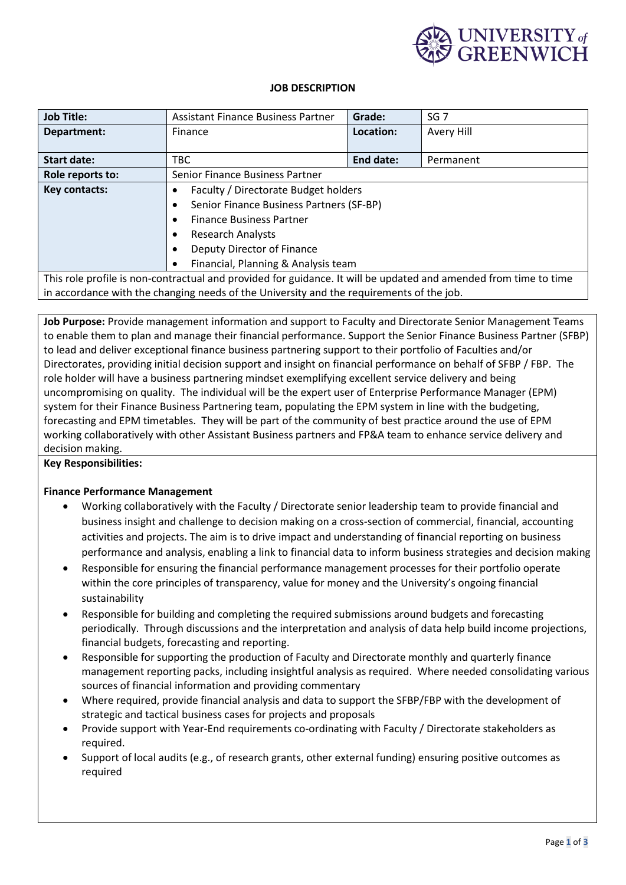

## **JOB DESCRIPTION**

| <b>Job Title:</b>                                                                                                | <b>Assistant Finance Business Partner</b>         | Grade:    | SG <sub>7</sub> |  |
|------------------------------------------------------------------------------------------------------------------|---------------------------------------------------|-----------|-----------------|--|
| Department:                                                                                                      | Finance                                           | Location: | Avery Hill      |  |
|                                                                                                                  |                                                   |           |                 |  |
| <b>Start date:</b>                                                                                               | <b>TBC</b>                                        | End date: | Permanent       |  |
| Role reports to:                                                                                                 | Senior Finance Business Partner                   |           |                 |  |
| Key contacts:                                                                                                    | Faculty / Directorate Budget holders<br>$\bullet$ |           |                 |  |
|                                                                                                                  | Senior Finance Business Partners (SF-BP)<br>٠     |           |                 |  |
|                                                                                                                  | <b>Finance Business Partner</b><br>$\bullet$      |           |                 |  |
|                                                                                                                  | <b>Research Analysts</b><br>$\bullet$             |           |                 |  |
|                                                                                                                  | Deputy Director of Finance<br>$\bullet$           |           |                 |  |
|                                                                                                                  | Financial, Planning & Analysis team<br>$\bullet$  |           |                 |  |
| This role profile is non-contractual and provided for guidance. It will be updated and amended from time to time |                                                   |           |                 |  |
| in accordance with the changing needs of the University and the requirements of the job.                         |                                                   |           |                 |  |

**Job Purpose:** Provide management information and support to Faculty and Directorate Senior Management Teams to enable them to plan and manage their financial performance. Support the Senior Finance Business Partner (SFBP) to lead and deliver exceptional finance business partnering support to their portfolio of Faculties and/or Directorates, providing initial decision support and insight on financial performance on behalf of SFBP / FBP. The role holder will have a business partnering mindset exemplifying excellent service delivery and being uncompromising on quality. The individual will be the expert user of Enterprise Performance Manager (EPM) system for their Finance Business Partnering team, populating the EPM system in line with the budgeting, forecasting and EPM timetables. They will be part of the community of best practice around the use of EPM working collaboratively with other Assistant Business partners and FP&A team to enhance service delivery and decision making.

**Key Responsibilities:**

# **Finance Performance Management**

- Working collaboratively with the Faculty / Directorate senior leadership team to provide financial and business insight and challenge to decision making on a cross-section of commercial, financial, accounting activities and projects. The aim is to drive impact and understanding of financial reporting on business performance and analysis, enabling a link to financial data to inform business strategies and decision making
- Responsible for ensuring the financial performance management processes for their portfolio operate within the core principles of transparency, value for money and the University's ongoing financial sustainability
- Responsible for building and completing the required submissions around budgets and forecasting periodically. Through discussions and the interpretation and analysis of data help build income projections, financial budgets, forecasting and reporting.
- Responsible for supporting the production of Faculty and Directorate monthly and quarterly finance management reporting packs, including insightful analysis as required. Where needed consolidating various sources of financial information and providing commentary
- Where required, provide financial analysis and data to support the SFBP/FBP with the development of strategic and tactical business cases for projects and proposals
- Provide support with Year-End requirements co-ordinating with Faculty / Directorate stakeholders as required.
- Support of local audits (e.g., of research grants, other external funding) ensuring positive outcomes as required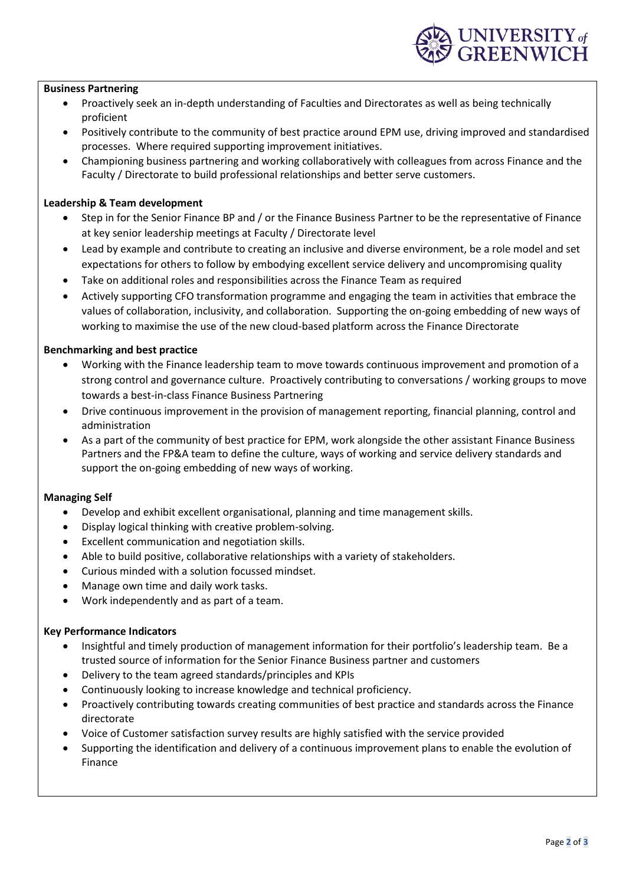## **Business Partnering**

- Proactively seek an in-depth understanding of Faculties and Directorates as well as being technically proficient
- Positively contribute to the community of best practice around EPM use, driving improved and standardised processes. Where required supporting improvement initiatives.
- Championing business partnering and working collaboratively with colleagues from across Finance and the Faculty / Directorate to build professional relationships and better serve customers.

### **Leadership & Team development**

- Step in for the Senior Finance BP and / or the Finance Business Partner to be the representative of Finance at key senior leadership meetings at Faculty / Directorate level
- Lead by example and contribute to creating an inclusive and diverse environment, be a role model and set expectations for others to follow by embodying excellent service delivery and uncompromising quality
- Take on additional roles and responsibilities across the Finance Team as required
- Actively supporting CFO transformation programme and engaging the team in activities that embrace the values of collaboration, inclusivity, and collaboration. Supporting the on-going embedding of new ways of working to maximise the use of the new cloud-based platform across the Finance Directorate

### **Benchmarking and best practice**

- Working with the Finance leadership team to move towards continuous improvement and promotion of a strong control and governance culture. Proactively contributing to conversations / working groups to move towards a best-in-class Finance Business Partnering
- Drive continuous improvement in the provision of management reporting, financial planning, control and administration
- As a part of the community of best practice for EPM, work alongside the other assistant Finance Business Partners and the FP&A team to define the culture, ways of working and service delivery standards and support the on-going embedding of new ways of working.

#### **Managing Self**

- Develop and exhibit excellent organisational, planning and time management skills.
- Display logical thinking with creative problem-solving.
- Excellent communication and negotiation skills.
- Able to build positive, collaborative relationships with a variety of stakeholders.
- Curious minded with a solution focussed mindset.
- Manage own time and daily work tasks.
- Work independently and as part of a team.

## **Key Performance Indicators**

- Insightful and timely production of management information for their portfolio's leadership team. Be a trusted source of information for the Senior Finance Business partner and customers
- Delivery to the team agreed standards/principles and KPIs
- Continuously looking to increase knowledge and technical proficiency.
- Proactively contributing towards creating communities of best practice and standards across the Finance directorate
- Voice of Customer satisfaction survey results are highly satisfied with the service provided
- Supporting the identification and delivery of a continuous improvement plans to enable the evolution of Finance